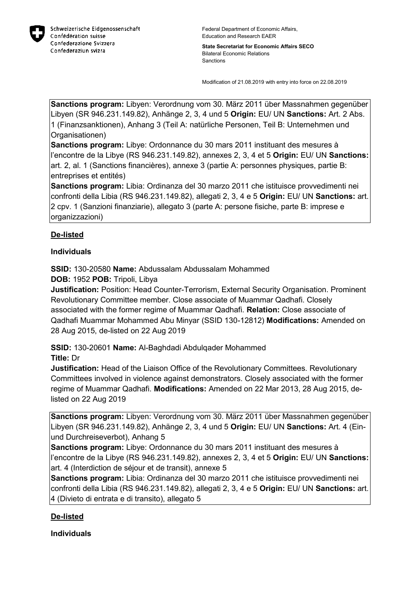

**State Secretariat for Economic Affairs SECO** Bilateral Economic Relations Sanctions

Modification of 21.08.2019 with entry into force on 22.08.2019

**Sanctions program:** Libyen: Verordnung vom 30. März 2011 über Massnahmen gegenüber Libyen (SR 946.231.149.82), Anhänge 2, 3, 4 und 5 **Origin:** EU/ UN **Sanctions:** Art. 2 Abs. 1 (Finanzsanktionen), Anhang 3 (Teil A: natürliche Personen, Teil B: Unternehmen und Organisationen)

**Sanctions program:** Libye: Ordonnance du 30 mars 2011 instituant des mesures à l'encontre de la Libye (RS 946.231.149.82), annexes 2, 3, 4 et 5 **Origin:** EU/ UN **Sanctions:** art. 2, al. 1 (Sanctions financières), annexe 3 (partie A: personnes physiques, partie B: entreprises et entités)

**Sanctions program:** Libia: Ordinanza del 30 marzo 2011 che istituisce provvedimenti nei confronti della Libia (RS 946.231.149.82), allegati 2, 3, 4 e 5 **Origin:** EU/ UN **Sanctions:** art. 2 cpv. 1 (Sanzioni finanziarie), allegato 3 (parte A: persone fisiche, parte B: imprese e organizzazioni)

## **De-listed**

## **Individuals**

**SSID:** 130-20580 **Name:** Abdussalam Abdussalam Mohammed

**DOB:** 1952 **POB:** Tripoli, Libya

**Justification:** Position: Head Counter-Terrorism, External Security Organisation. Prominent Revolutionary Committee member. Close associate of Muammar Qadhafi. Closely associated with the former regime of Muammar Qadhafi. **Relation:** Close associate of Qadhafi Muammar Mohammed Abu Minyar (SSID 130-12812) **Modifications:** Amended on 28 Aug 2015, de-listed on 22 Aug 2019

**SSID:** 130-20601 **Name:** Al-Baghdadi Abdulqader Mohammed **Title:** Dr

**Justification:** Head of the Liaison Office of the Revolutionary Committees. Revolutionary Committees involved in violence against demonstrators. Closely associated with the former regime of Muammar Qadhafi. **Modifications:** Amended on 22 Mar 2013, 28 Aug 2015, delisted on 22 Aug 2019

**Sanctions program:** Libyen: Verordnung vom 30. März 2011 über Massnahmen gegenüber Libyen (SR 946.231.149.82), Anhänge 2, 3, 4 und 5 **Origin:** EU/ UN **Sanctions:** Art. 4 (Einund Durchreiseverbot), Anhang 5

**Sanctions program:** Libye: Ordonnance du 30 mars 2011 instituant des mesures à l'encontre de la Libye (RS 946.231.149.82), annexes 2, 3, 4 et 5 **Origin:** EU/ UN **Sanctions:** art. 4 (Interdiction de séjour et de transit), annexe 5

**Sanctions program:** Libia: Ordinanza del 30 marzo 2011 che istituisce provvedimenti nei confronti della Libia (RS 946.231.149.82), allegati 2, 3, 4 e 5 **Origin:** EU/ UN **Sanctions:** art. 4 (Divieto di entrata e di transito), allegato 5

## **De-listed**

**Individuals**